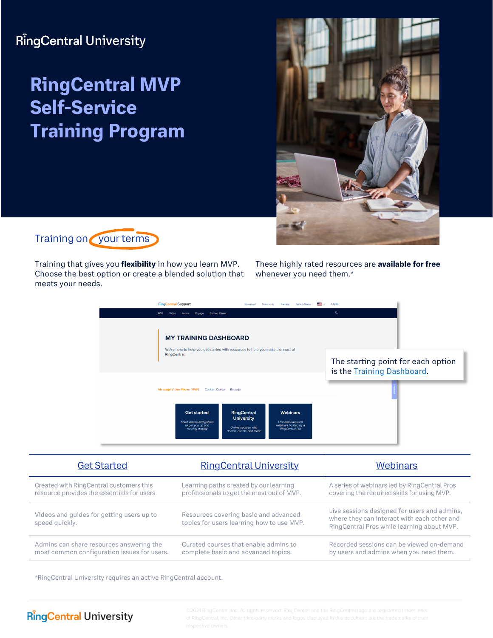## **RingCentral University**

# **RingCentral MVP Self-Service Training Program**





Training that gives you **flexibility** in how you learn MVP. Choose the best option or create a blended solution that meets your needs.

These highly rated resources are **available for free** whenever you need them.\*

| <b>RingCentral Support</b><br>·■■■<br>System Status<br>Download<br>Community<br>Training<br><b>Contact Center</b><br>MVP<br>Video                                                                                                                             | Login<br>$\alpha$                                                |
|---------------------------------------------------------------------------------------------------------------------------------------------------------------------------------------------------------------------------------------------------------------|------------------------------------------------------------------|
| <b>MY TRAINING DASHBOARD</b>                                                                                                                                                                                                                                  |                                                                  |
| We're here to help you get started with resources to help you make the most of<br>RingCentral.                                                                                                                                                                | The starting point for each option<br>is the Training Dashboard. |
| <b>Message Video Phone (MVP)</b><br><b>Contact Center</b><br>Engage                                                                                                                                                                                           |                                                                  |
| RingCentral<br><b>Webinars</b><br><b>Get started</b><br><b>University</b><br>Short videos and quides<br>Live and recorded<br>webinars hosted by a<br>to get you up and<br>Online courses with<br>RingCentral Pro<br>running quickly<br>demos, exams, and more |                                                                  |

| <b>Get Started</b>                                          | <b>RingCentral University</b>                                                      | <b>Webinars</b>                                                                                                                           |
|-------------------------------------------------------------|------------------------------------------------------------------------------------|-------------------------------------------------------------------------------------------------------------------------------------------|
| Created with RingCentral customers this                     | Learning paths created by our learning                                             | A series of webinars led by RingCentral Pros                                                                                              |
| resource provides the essentials for users.                 | professionals to get the most out of MVP.                                          | covering the required skills for using MVP.                                                                                               |
| Videos and guides for getting users up to<br>speed quickly. | Resources covering basic and advanced<br>topics for users learning how to use MVP. | Live sessions designed for users and admins,<br>where they can interact with each other and<br>RingCentral Pros while learning about MVP. |
| Admins can share resources answering the                    | Curated courses that enable admins to                                              | Recorded sessions can be viewed on-demand                                                                                                 |
| most common configuration issues for users.                 | complete basic and advanced topics.                                                | by users and admins when you need them.                                                                                                   |

\*RingCentral University requires an active RingCentral account.

#### **RingCentral University**